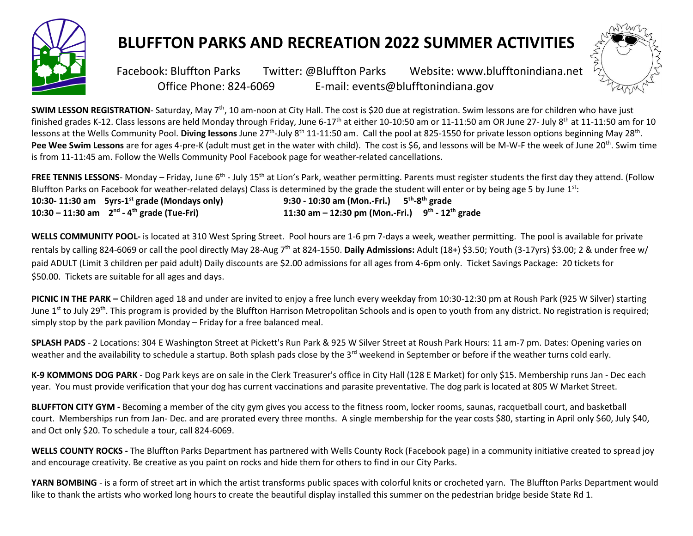

## **BLUFFTON PARKS AND RECREATION 2022 SUMMER ACTIVITIES**



Facebook: Facebook: Bluffton Parks Twitter: @Bluffton Parks Website: www.blufftonindiana.net Office Phone: 824-6069 E-mail: events@blufftonindiana.gov

**SWIM LESSON REGISTRATION**- Saturday, May 7<sup>th</sup>, 10 am-noon at City Hall. The cost is \$20 due at registration. Swim lessons are for children who have just finished grades K-12. Class lessons are held Monday through Friday, June 6-17<sup>th</sup> at either 10-10:50 am or 11-11:50 am OR June 27- July 8<sup>th</sup> at 11-11:50 am for 10 lessons at the Wells Community Pool. Diving lessons June 27<sup>th</sup>-July 8<sup>th</sup> 11-11:50 am. Call the pool at 825-1550 for private lesson options beginning May 28<sup>th</sup>. Pee Wee Swim Lessons are for ages 4-pre-K (adult must get in the water with child). The cost is \$6, and lessons will be M-W-F the week of June 20<sup>th</sup>. Swim time is from 11-11:45 am. Follow the Wells Community Pool Facebook page for weather-related cancellations.

FREE TENNIS LESSONS- Monday – Friday, June 6<sup>th</sup> - July 15<sup>th</sup> at Lion's Park, weather permitting. Parents must register students the first day they attend. (Follow Bluffton Parks on Facebook for weather-related delays) Class is determined by the grade the student will enter or by being age 5 by June 1<sup>st</sup>:

**10:30- 11:30 am 5yrs-1 10:30 – 11:30 am 2nd - 4**

**st grade (Mondays only) 9:30 - 10:30 am (Mon.-Fri.) 5 th -8 th grade th grade (Tue-Fri) 11:30 am – 12:30 pm (Mon.-Fri.) 9 th - 12th grade**

**WELLS COMMUNITY POOL-** is located at 310 West Spring Street. Pool hours are 1-6 pm 7-days a week, weather permitting. The pool is available for private rentals by calling 824-6069 or call the pool directly May 28-Aug 7th at 824-1550. **Daily Admissions:** Adult (18+) \$3.50; Youth (3-17yrs) \$3.00; 2 & under free w/ paid ADULT (Limit 3 children per paid adult) Daily discounts are \$2.00 admissions for all ages from 4-6pm only. Ticket Savings Package: 20 tickets for \$50.00. Tickets are suitable for all ages and days.

**PICNIC IN THE PARK –** Children aged 18 and under are invited to enjoy a free lunch every weekday from 10:30-12:30 pm at Roush Park (925 W Silver) starting June 1<sup>st</sup> to July 29<sup>th</sup>. This program is provided by the Bluffton Harrison Metropolitan Schools and is open to youth from any district. No registration is required; simply stop by the park pavilion Monday – Friday for a free balanced meal.

**SPLASH PADS** - 2 Locations: 304 E Washington Street at Pickett's Run Park & 925 W Silver Street at Roush Park Hours: 11 am-7 pm. Dates: Opening varies on weather and the availability to schedule a startup. Both splash pads close by the 3<sup>rd</sup> weekend in September or before if the weather turns cold early.

K-9 KOMMONS DOG PARK - Dog Park keys are on sale in the Clerk Treasurer's office in City Hall (128 E Market) for only \$15. Membership runs Jan - Dec each year. You must provide verification that your dog has current vaccinations and parasite preventative. The dog park is located at 805 W Market Street.

**BLUFFTON CITY GYM -** Becoming a member of the city gym gives you access to the fitness room, locker rooms, saunas, racquetball court, and basketball court. Memberships run from Jan- Dec. and are prorated every three months. A single membership for the year costs \$80, starting in April only \$60, July \$40, and Oct only \$20. To schedule a tour, call 824-6069.

**WELLS COUNTY ROCKS -** The Bluffton Parks Department has partnered with Wells County Rock (Facebook page) in a community initiative created to spread joy and encourage creativity. Be creative as you paint on rocks and hide them for others to find in our City Parks.

**YARN BOMBING** - is a form of street art in which the artist transforms public spaces with colorful knits or crocheted yarn. The Bluffton Parks Department would like to thank the artists who worked long hours to create the beautiful display installed this summer on the pedestrian bridge beside State Rd 1.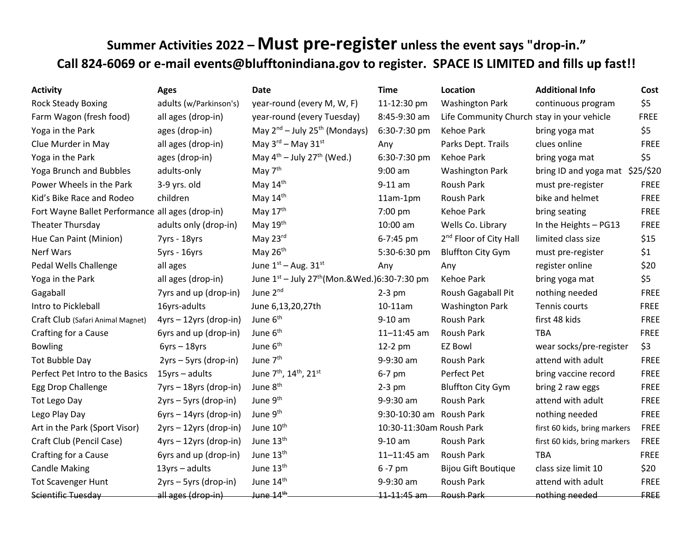## **Summer Activities 2022 – Must pre-register unless the event says "drop-in." Call 824-6069 or e-mail events@blufftonindiana.gov to register. SPACE IS LIMITED and fills up fast!!**

| <b>Activity</b>                                  | <b>Ages</b>              | <b>Date</b>                                                      | <b>Time</b>              | <b>Location</b>                            | <b>Additional Info</b>          | Cost        |
|--------------------------------------------------|--------------------------|------------------------------------------------------------------|--------------------------|--------------------------------------------|---------------------------------|-------------|
| <b>Rock Steady Boxing</b>                        | adults (w/Parkinson's)   | year-round (every M, W, F)                                       | 11-12:30 pm              | <b>Washington Park</b>                     | continuous program              | \$5         |
| Farm Wagon (fresh food)                          | all ages (drop-in)       | year-round (every Tuesday)                                       | 8:45-9:30 am             | Life Community Church stay in your vehicle |                                 | <b>FREE</b> |
| Yoga in the Park                                 | ages (drop-in)           | May 2 <sup>nd</sup> - July 25 <sup>th</sup> (Mondays)            | 6:30-7:30 pm             | Kehoe Park                                 | bring yoga mat                  | \$5         |
| Clue Murder in May                               | all ages (drop-in)       | May $3^{\text{rd}}$ – May $31^{\text{st}}$                       | Any                      | Parks Dept. Trails                         | clues online                    | <b>FREE</b> |
| Yoga in the Park                                 | ages (drop-in)           | May $4^{\text{th}}$ – July 27 <sup>th</sup> (Wed.)               | 6:30-7:30 pm             | Kehoe Park                                 | bring yoga mat                  | \$5         |
| <b>Yoga Brunch and Bubbles</b>                   | adults-only              | May 7 <sup>th</sup>                                              | $9:00$ am                | <b>Washington Park</b>                     | bring ID and yoga mat \$25/\$20 |             |
| Power Wheels in the Park                         | 3-9 yrs. old             | May 14th                                                         | $9-11$ am                | Roush Park                                 | must pre-register               | <b>FREE</b> |
| Kid's Bike Race and Rodeo                        | children                 | May 14th                                                         | $11am-1pm$               | Roush Park                                 | bike and helmet                 | <b>FREE</b> |
| Fort Wayne Ballet Performance all ages (drop-in) |                          | May 17th                                                         | 7:00 pm                  | Kehoe Park                                 | bring seating                   | FREE        |
| Theater Thursday                                 | adults only (drop-in)    | May 19th                                                         | 10:00 am                 | Wells Co. Library                          | In the Heights - PG13           | <b>FREE</b> |
| Hue Can Paint (Minion)                           | 7yrs - 18yrs             | May 23rd                                                         | 6-7:45 pm                | 2 <sup>nd</sup> Floor of City Hall         | limited class size              | \$15        |
| Nerf Wars                                        | 5yrs - 16yrs             | May 26 <sup>th</sup>                                             | 5:30-6:30 pm             | <b>Bluffton City Gym</b>                   | must pre-register               | \$1         |
| Pedal Wells Challenge                            | all ages                 | June $1st - Aug. 31st$                                           | Any                      | Any                                        | register online                 | \$20        |
| Yoga in the Park                                 | all ages (drop-in)       | June $1^{st}$ – July 27 <sup>th</sup> (Mon. & Wed.) 6:30-7:30 pm |                          | <b>Kehoe Park</b>                          | bring yoga mat                  | \$5         |
| Gagaball                                         | 7yrs and up (drop-in)    | June 2 <sup>nd</sup>                                             | $2-3$ pm                 | Roush Gagaball Pit                         | nothing needed                  | <b>FREE</b> |
| Intro to Pickleball                              | 16yrs-adults             | June 6,13,20,27th                                                | 10-11am                  | <b>Washington Park</b>                     | Tennis courts                   | <b>FREE</b> |
| Craft Club (Safari Animal Magnet)                | $4yrs - 12yrs$ (drop-in) | June 6 <sup>th</sup>                                             | $9-10$ am                | Roush Park                                 | first 48 kids                   | <b>FREE</b> |
| Crafting for a Cause                             | 6yrs and up (drop-in)    | June 6 <sup>th</sup>                                             | $11 - 11:45$ am          | Roush Park                                 | <b>TBA</b>                      | <b>FREE</b> |
| <b>Bowling</b>                                   | $6yrs - 18yrs$           | June 6 <sup>th</sup>                                             | 12-2 pm                  | <b>EZ Bowl</b>                             | wear socks/pre-register         | \$3         |
| Tot Bubble Day                                   | 2yrs - 5yrs (drop-in)    | June 7 <sup>th</sup>                                             | 9-9:30 am                | Roush Park                                 | attend with adult               | <b>FREE</b> |
| Perfect Pet Intro to the Basics                  | $15$ yrs – adults        | June 7 <sup>th</sup> , 14 <sup>th</sup> , 21 <sup>st</sup>       | 6-7 pm                   | Perfect Pet                                | bring vaccine record            | <b>FREE</b> |
| Egg Drop Challenge                               | 7yrs - 18yrs (drop-in)   | June 8 <sup>th</sup>                                             | $2-3$ pm                 | <b>Bluffton City Gym</b>                   | bring 2 raw eggs                | <b>FREE</b> |
| Tot Lego Day                                     | 2yrs – 5yrs (drop-in)    | June 9 <sup>th</sup>                                             | 9-9:30 am                | Roush Park                                 | attend with adult               | <b>FREE</b> |
| Lego Play Day                                    | $6yrs - 14yrs$ (drop-in) | June 9 <sup>th</sup>                                             | 9:30-10:30 am Roush Park |                                            | nothing needed                  | <b>FREE</b> |
| Art in the Park (Sport Visor)                    | 2yrs - 12yrs (drop-in)   | June 10 <sup>th</sup>                                            | 10:30-11:30am Roush Park |                                            | first 60 kids, bring markers    | <b>FREE</b> |
| Craft Club (Pencil Case)                         | 4yrs - 12yrs (drop-in)   | June 13th                                                        | $9-10$ am                | Roush Park                                 | first 60 kids, bring markers    | <b>FREE</b> |
| Crafting for a Cause                             | 6yrs and up (drop-in)    | June 13th                                                        | $11 - 11:45$ am          | Roush Park                                 | <b>TBA</b>                      | <b>FREE</b> |
| <b>Candle Making</b>                             | $13yrs - adults$         | June 13th                                                        | 6-7 pm                   | <b>Bijou Gift Boutique</b>                 | class size limit 10             | \$20        |
| <b>Tot Scavenger Hunt</b>                        | 2yrs - 5yrs (drop-in)    | June 14th                                                        | 9-9:30 am                | Roush Park                                 | attend with adult               | <b>FREE</b> |
| Scientific Tuesday                               | all ages (drop-in)       | June 14 <sup>th</sup>                                            | 11-11:45 am              | <b>Roush Park</b>                          | nothing needed                  | FREE        |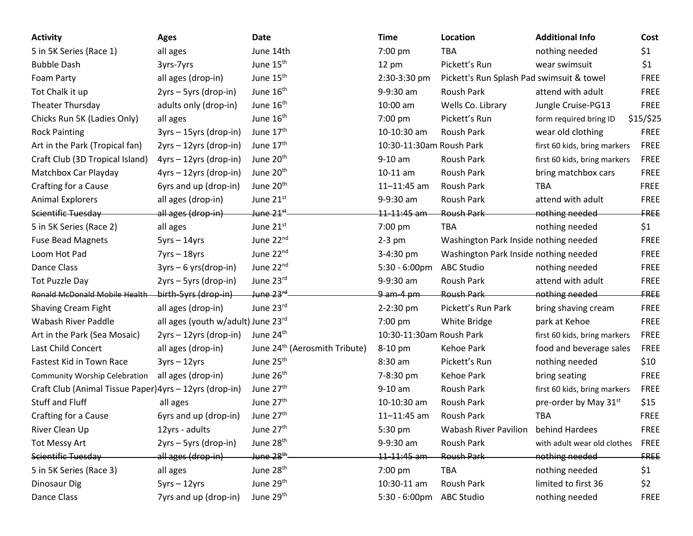| <b>Activity</b>                                         | <b>Ages</b>                        | Date                                      | <b>Time</b>              | Location                                  | <b>Additional Info</b>       | Cost        |
|---------------------------------------------------------|------------------------------------|-------------------------------------------|--------------------------|-------------------------------------------|------------------------------|-------------|
| 5 in 5K Series (Race 1)                                 | all ages                           | June 14th                                 | 7:00 pm                  | <b>TBA</b>                                | nothing needed               | \$1         |
| <b>Bubble Dash</b>                                      | 3yrs-7yrs                          | June 15 <sup>th</sup>                     | $12 \text{ pm}$          | Pickett's Run                             | wear swimsuit                | \$1         |
| Foam Party                                              | all ages (drop-in)                 | June 15 <sup>th</sup>                     | 2:30-3:30 pm             | Pickett's Run Splash Pad swimsuit & towel |                              | <b>FREE</b> |
| Tot Chalk it up                                         | 2yrs – 5yrs (drop-in)              | June 16 <sup>th</sup>                     | 9-9:30 am                | Roush Park                                | attend with adult            | <b>FREE</b> |
| Theater Thursday                                        | adults only (drop-in)              | June 16 <sup>th</sup>                     | 10:00 am                 | Wells Co. Library                         | Jungle Cruise-PG13           | <b>FREE</b> |
| Chicks Run 5K (Ladies Only)                             | all ages                           | June 16 <sup>th</sup>                     | $7:00$ pm                | Pickett's Run                             | form required bring ID       | \$15/\$25   |
| <b>Rock Painting</b>                                    | $3yrs - 15yrs$ (drop-in)           | June 17th                                 | 10-10:30 am              | Roush Park                                | wear old clothing            | <b>FREE</b> |
| Art in the Park (Tropical fan)                          | 2yrs - 12yrs (drop-in)             | June 17 <sup>th</sup>                     | 10:30-11:30am Roush Park |                                           | first 60 kids, bring markers | FREE        |
| Craft Club (3D Tropical Island)                         | 4yrs - 12yrs (drop-in)             | June 20 <sup>th</sup>                     | 9-10 am                  | Roush Park                                | first 60 kids, bring markers | FREE        |
| Matchbox Car Playday                                    | 4yrs - 12yrs (drop-in)             | June 20 <sup>th</sup>                     | 10-11 am                 | Roush Park                                | bring matchbox cars          | <b>FREE</b> |
| Crafting for a Cause                                    | 6yrs and up (drop-in)              | June 20 <sup>th</sup>                     | $11 - 11:45$ am          | Roush Park                                | <b>TBA</b>                   | <b>FREE</b> |
| <b>Animal Explorers</b>                                 | all ages (drop-in)                 | June 21st                                 | 9-9:30 am                | Roush Park                                | attend with adult            | <b>FREE</b> |
| Scientific Tuesday                                      | all ages (drop-in)                 | <del>June 21<sup>st</sup> -</del>         | <del>11-11:45 am</del>   | <b>Roush Park</b>                         | nothing needed               | FREE        |
| 5 in 5K Series (Race 2)                                 | all ages                           | June 21st                                 | 7:00 pm                  | <b>TBA</b>                                | nothing needed               | \$1         |
| <b>Fuse Bead Magnets</b>                                | $5yrs - 14yrs$                     | June 22 <sup>nd</sup>                     | $2-3$ pm                 | Washington Park Inside nothing needed     |                              | <b>FREE</b> |
| Loom Hot Pad                                            | $7yrs - 18yrs$                     | June 22nd                                 | 3-4:30 pm                | Washington Park Inside nothing needed     |                              | <b>FREE</b> |
| Dance Class                                             | $3yrs - 6yrs(drop-in)$             | June 22nd                                 | $5:30 - 6:00 \text{pm}$  | <b>ABC Studio</b>                         | nothing needed               | <b>FREE</b> |
| <b>Tot Puzzle Day</b>                                   | 2yrs - 5yrs (drop-in)              | June 23rd                                 | 9-9:30 am                | Roush Park                                | attend with adult            | <b>FREE</b> |
| <b>Ronald McDonald Mobile Health</b>                    | birth-5yrs (drop-in)               | <del>June 23rd</del>                      | $9$ am-4 pm              | <b>Roush Park</b>                         | nothing needed               | FREE        |
| Shaving Cream Fight                                     | all ages (drop-in)                 | June 23rd                                 | 2-2:30 pm                | Pickett's Run Park                        | bring shaving cream          | <b>FREE</b> |
| Wabash River Paddle                                     | all ages (youth w/adult) June 23rd |                                           | 7:00 pm                  | White Bridge                              | park at Kehoe                | <b>FREE</b> |
| Art in the Park (Sea Mosaic)                            | 2yrs - 12yrs (drop-in)             | June 24 <sup>th</sup>                     | 10:30-11:30am Roush Park |                                           | first 60 kids, bring markers | FREE        |
| Last Child Concert                                      | all ages (drop-in)                 | June 24 <sup>th</sup> (Aerosmith Tribute) | 8-10 pm                  | Kehoe Park                                | food and beverage sales      | <b>FREE</b> |
| Fastest Kid in Town Race                                | $3yrs - 12yrs$                     | June 25 <sup>th</sup>                     | 8:30 am                  | Pickett's Run                             | nothing needed               | \$10        |
| <b>Community Worship Celebration</b>                    | all ages (drop-in)                 | June 26 <sup>th</sup>                     | 7-8:30 pm                | Kehoe Park                                | bring seating                | <b>FREE</b> |
| Craft Club (Animal Tissue Paper) 4yrs - 12yrs (drop-in) |                                    | June 27 <sup>th</sup>                     | 9-10 am                  | Roush Park                                | first 60 kids, bring markers | <b>FREE</b> |
| <b>Stuff and Fluff</b>                                  | all ages                           | June 27 <sup>th</sup>                     | 10-10:30 am              | Roush Park                                | pre-order by May 31st        | \$15        |
| Crafting for a Cause                                    | 6yrs and up (drop-in)              | June 27 <sup>th</sup>                     | $11 - 11:45$ am          | Roush Park                                | <b>TBA</b>                   | <b>FREE</b> |
| River Clean Up                                          | 12yrs - adults                     | June 27 <sup>th</sup>                     | 5:30 pm                  | <b>Wabash River Pavilion</b>              | behind Hardees               | <b>FREE</b> |
| <b>Tot Messy Art</b>                                    | 2yrs - 5yrs (drop-in)              | June 28 <sup>th</sup>                     | 9-9:30 am                | <b>Roush Park</b>                         | with adult wear old clothes  | <b>FREE</b> |
| Scientific Tuesday                                      | all ages (drop-in)                 | <del>June 28<sup>th</sup>.</del>          | 11-11:45 am              | <b>Roush Park</b>                         | nothing needed               | FREE        |
| 5 in 5K Series (Race 3)                                 | all ages                           | June 28 <sup>th</sup>                     | 7:00 pm                  | <b>TBA</b>                                | nothing needed               | \$1         |
| Dinosaur Dig                                            | $5yrs - 12yrs$                     | June 29 <sup>th</sup>                     | 10:30-11 am              | Roush Park                                | limited to first 36          | \$2         |
| Dance Class                                             | 7yrs and up (drop-in)              | June 29th                                 | $5:30 - 6:00 \text{pm}$  | <b>ABC Studio</b>                         | nothing needed               | <b>FREE</b> |